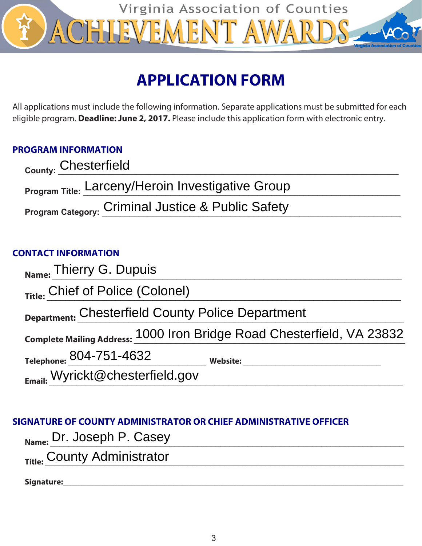

# **APPLICATION FORM**

All applications must include the following information. Separate applications must be submitted for each eligible program. **Deadline: June 2, 2017.** Please include this application form with electronic entry.

### **PROGRAM INFORMATION**

| <sub>County:</sub> Chesterfield                          |
|----------------------------------------------------------|
| <b>Program Title: Larceny/Heroin Investigative Group</b> |
| Program Category: Criminal Justice & Public Safety       |

### **CONTACT INFORMATION**

| Name: Thierry G. Dupuis                           |                                                                        |
|---------------------------------------------------|------------------------------------------------------------------------|
| Title: Chief of Police (Colonel)                  |                                                                        |
| Department: Chesterfield County Police Department |                                                                        |
|                                                   | Complete Mailing Address: 1000 Iron Bridge Road Chesterfield, VA 23832 |
| Telephone: 804-751-4632                           | <b>Website:</b>                                                        |
| Email: Wyrickt@chesterfield.gov                   |                                                                        |

### **SIGNATURE OF COUNTY ADMINISTRATOR OR CHIEF ADMINISTRATIVE OFFICER**

| $_{\text{Name:}}$ Dr. Joseph P. Casey |
|---------------------------------------|
|---------------------------------------|

Title: County Administrator

**Signature:**\_\_\_\_\_\_\_\_\_\_\_\_\_\_\_\_\_\_\_\_\_\_\_\_\_\_\_\_\_\_\_\_\_\_\_\_\_\_\_\_\_\_\_\_\_\_\_\_\_\_\_\_\_\_\_\_\_\_\_\_\_\_\_\_\_\_\_\_\_\_\_\_\_\_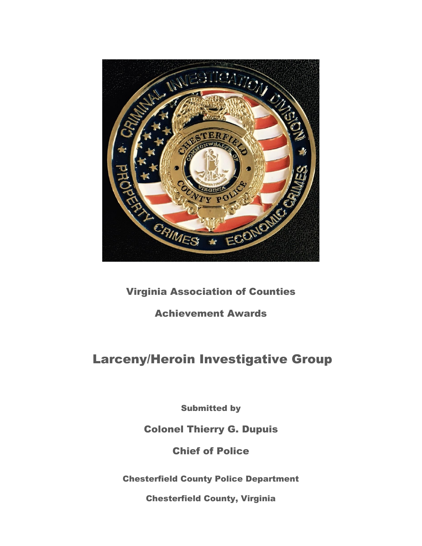

### Virginia Association of Counties

### Achievement Awards

## Larceny/Heroin Investigative Group

Submitted by

### Colonel Thierry G. Dupuis

Chief of Police

Chesterfield County Police Department

Chesterfield County, Virginia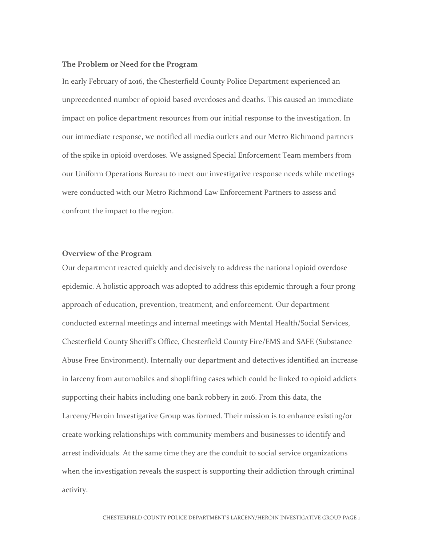#### **The Problem or Need for the Program**

In early February of 2016, the Chesterfield County Police Department experienced an unprecedented number of opioid based overdoses and deaths. This caused an immediate impact on police department resources from our initial response to the investigation. In our immediate response, we notified all media outlets and our Metro Richmond partners of the spike in opioid overdoses. We assigned Special Enforcement Team members from our Uniform Operations Bureau to meet our investigative response needs while meetings were conducted with our Metro Richmond Law Enforcement Partners to assess and confront the impact to the region.

#### **Overview of the Program**

Our department reacted quickly and decisively to address the national opioid overdose epidemic. A holistic approach was adopted to address this epidemic through a four prong approach of education, prevention, treatment, and enforcement. Our department conducted external meetings and internal meetings with Mental Health/Social Services, Chesterfield County Sheriff's Office, Chesterfield County Fire/EMS and SAFE (Substance Abuse Free Environment). Internally our department and detectives identified an increase in larceny from automobiles and shoplifting cases which could be linked to opioid addicts supporting their habits including one bank robbery in 2016. From this data, the Larceny/Heroin Investigative Group was formed. Their mission is to enhance existing/or create working relationships with community members and businesses to identify and arrest individuals. At the same time they are the conduit to social service organizations when the investigation reveals the suspect is supporting their addiction through criminal activity.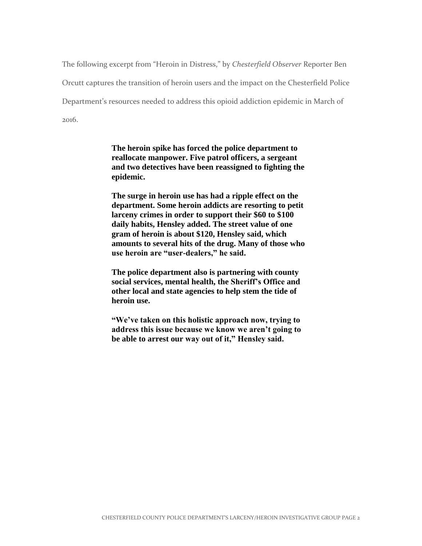The following excerpt from "Heroin in Distress," by *Chesterfield Observer* Reporter Ben Orcutt captures the transition of heroin users and the impact on the Chesterfield Police Department's resources needed to address this opioid addiction epidemic in March of 2016.

> **The heroin spike has forced the police department to reallocate manpower. Five patrol officers, a sergeant and two detectives have been reassigned to fighting the epidemic.**

> **The surge in heroin use has had a ripple effect on the department. Some heroin addicts are resorting to petit larceny crimes in order to support their \$60 to \$100 daily habits, Hensley added. The street value of one gram of heroin is about \$120, Hensley said, which amounts to several hits of the drug. Many of those who use heroin are "user-dealers," he said.**

**The police department also is partnering with county social services, mental health, the Sheriff's Office and other local and state agencies to help stem the tide of heroin use.**

**"We've taken on this holistic approach now, trying to address this issue because we know we aren't going to be able to arrest our way out of it," Hensley said.**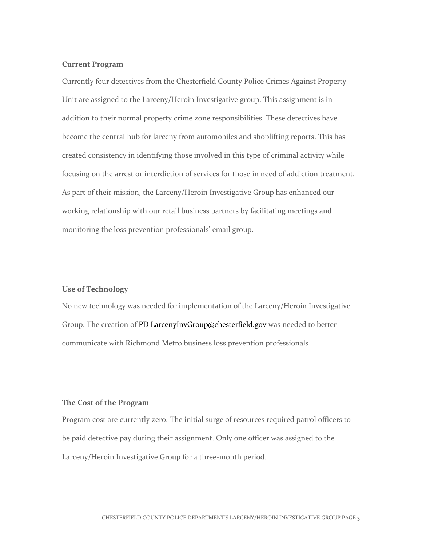#### **Current Program**

Currently four detectives from the Chesterfield County Police Crimes Against Property Unit are assigned to the Larceny/Heroin Investigative group. This assignment is in addition to their normal property crime zone responsibilities. These detectives have become the central hub for larceny from automobiles and shoplifting reports. This has created consistency in identifying those involved in this type of criminal activity while focusing on the arrest or interdiction of services for those in need of addiction treatment. As part of their mission, the Larceny/Heroin Investigative Group has enhanced our working relationship with our retail business partners by facilitating meetings and monitoring the loss prevention professionals' email group.

#### **Use of Technology**

No new technology was needed for implementation of the Larceny/Heroin Investigative Group. The creation of PD [LarcenyInvGroup@chesterfield.gov](mailto:LarcenyInvGroup@chesterfield.gov) was needed to better communicate with Richmond Metro business loss prevention professionals

#### **The Cost of the Program**

Program cost are currently zero. The initial surge of resources required patrol officers to be paid detective pay during their assignment. Only one officer was assigned to the Larceny/Heroin Investigative Group for a three-month period.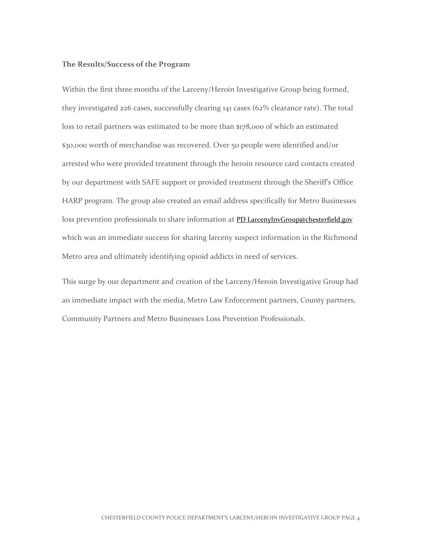#### **The Results/Success of the Program**

Within the first three months of the Larceny/Heroin Investigative Group being formed, they investigated 226 cases, successfully clearing 141 cases (62% clearance rate). The total loss to retail partners was estimated to be more than \$178,000 of which an estimated \$30,000 worth of merchandise was recovered. Over 50 people were identified and/or arrested who were provided treatment through the heroin resource card contacts created by our department with SAFE support or provided treatment through the Sheriff's Office HARP program. The group also created an email address specifically for Metro Businesses loss prevention professionals to share information at PD [LarcenyInvGroup@chesterfield.gov](mailto:LarcenyInvGroup@chesterfield.gov) which was an immediate success for sharing larceny suspect information in the Richmond Metro area and ultimately identifying opioid addicts in need of services.

This surge by our department and creation of the Larceny/Heroin Investigative Group had an immediate impact with the media, Metro Law Enforcement partners, County partners, Community Partners and Metro Businesses Loss Prevention Professionals.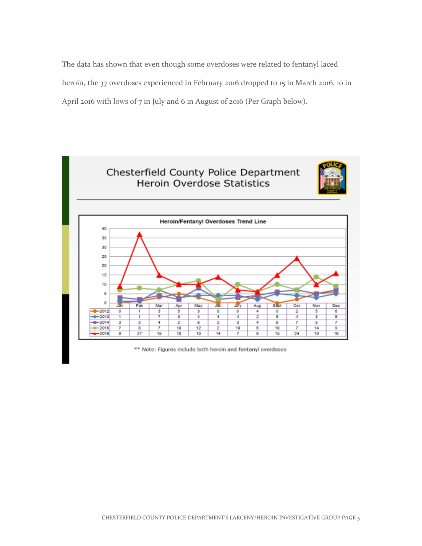The data has shown that even though some overdoses were related to fentanyl laced heroin, the 37 overdoses experienced in February 2016 dropped to 15 in March 2016, 10 in April 2016 with lows of 7 in July and 6 in August of 2016 (Per Graph below).



\*\* Note: Figures include both heroin and fentanyl overdoses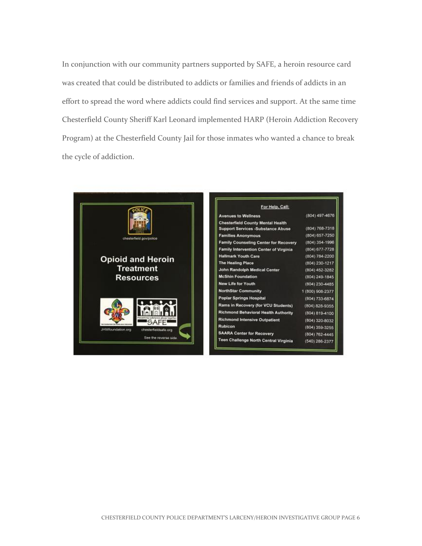In conjunction with our community partners supported by SAFE, a heroin resource card was created that could be distributed to addicts or families and friends of addicts in an effort to spread the word where addicts could find services and support. At the same time Chesterfield County Sheriff Karl Leonard implemented HARP (Heroin Addiction Recovery Program) at the Chesterfield County Jail for those inmates who wanted a chance to break the cycle of addiction.



| For Help, Call:                          |                    |
|------------------------------------------|--------------------|
| <b>Avenues to Wellness</b>               | (804) 497-4676     |
| <b>Chesterfield County Mental Health</b> |                    |
| <b>Support Services -Substance Abuse</b> | (804) 768-7318     |
| <b>Families Anonymous</b>                | (804) 657-7250     |
| Family Counseling Center for Recovery    | (804) 354-1996     |
| Family Intervention Center of Virginia   | $(804) 677 - 7728$ |
| <b>Hallmark Youth Care</b>               | (804) 784-2200     |
| <b>The Healing Place</b>                 | (804) 230-1217     |
| John Randolph Medical Center             | (804) 452-3282     |
| <b>McShin Foundation</b>                 | (804) 249-1845     |
| New Life for Youth                       | (804) 230-4485     |
| <b>NorthStar Community</b>               | 1 (800) 908-2377   |
| <b>Poplar Springs Hospital</b>           | (804) 733-6874     |
| Rams in Recovery (for VCU Students)      | (804) 828-9355     |
| Richmond Behavioral Health Authority     | $(804) 819 - 4100$ |
| <b>Richmond Intensive Outpatient</b>     | (804) 320-8032     |
| Rubicon                                  | (804) 359-3255     |
| <b>SAARA Center for Recovery</b>         | $(804)$ 762-4445   |
| Teen Challenge North Central Virginia    | (540) 286-2377     |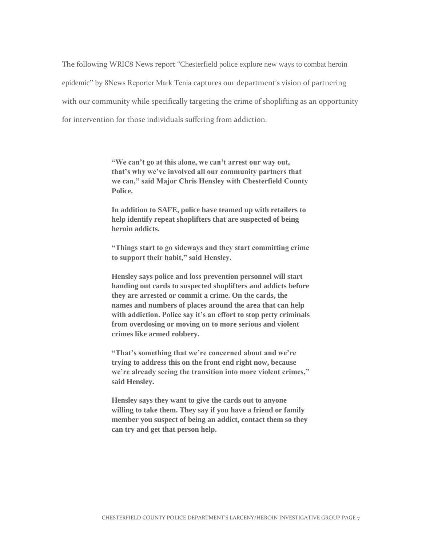The following WRIC8 News report "Chesterfield police explore new ways to combat heroin epidemic" by 8News Reporter Mark Tenia captures our department's vision of partnering with our community while specifically targeting the crime of shoplifting as an opportunity for intervention for those individuals suffering from addiction.

> **"We can't go at this alone, we can't arrest our way out, that's why we've involved all our community partners that we can," said Major Chris Hensley with Chesterfield County Police.**

> **In addition to SAFE, police have teamed up with retailers to help identify repeat shoplifters that are suspected of being heroin addicts.**

**"Things start to go sideways and they start committing crime to support their habit," said Hensley.**

**Hensley says police and loss prevention personnel will start handing out cards to suspected shoplifters and addicts before they are arrested or commit a crime. On the cards, the names and numbers of places around the area that can help with addiction. Police say it's an effort to stop petty criminals from overdosing or moving on to more serious and violent crimes like armed robbery.**

**"That's something that we're concerned about and we're trying to address this on the front end right now, because we're already seeing the transition into more violent crimes," said Hensley.**

**Hensley says they want to give the cards out to anyone willing to take them. They say if you have a friend or family member you suspect of being an addict, contact them so they can try and get that person help.**